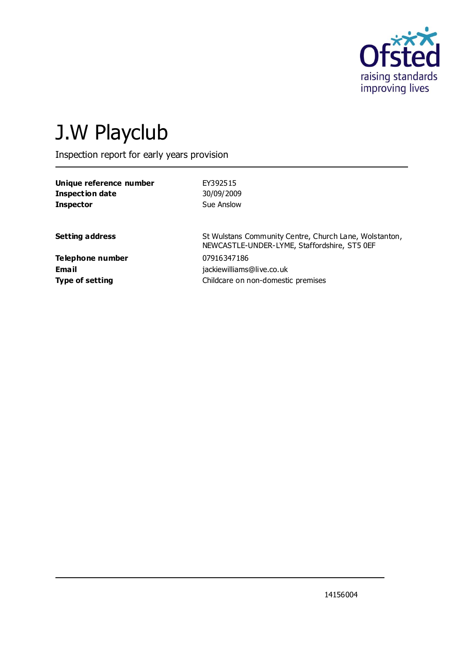

# J.W Playclub

Inspection report for early years provision

| EY392515<br>30/09/2009<br>Sue Anslow                                                                   |
|--------------------------------------------------------------------------------------------------------|
| St Wulstans Community Centre, Church Lane, Wolstanton,<br>NEWCASTLE-UNDER-LYME, Staffordshire, ST5 0EF |
| 07916347186<br>jackiewilliams@live.co.uk<br>Childcare on non-domestic premises                         |
|                                                                                                        |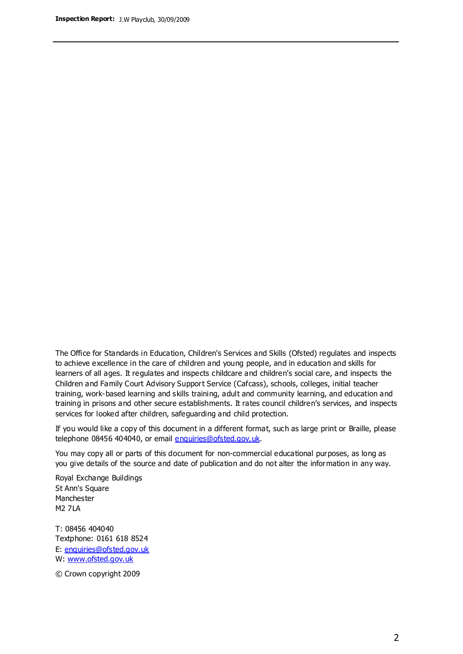The Office for Standards in Education, Children's Services and Skills (Ofsted) regulates and inspects to achieve excellence in the care of children and young people, and in education and skills for learners of all ages. It regulates and inspects childcare and children's social care, and inspects the Children and Family Court Advisory Support Service (Cafcass), schools, colleges, initial teacher training, work-based learning and skills training, adult and community learning, and education and training in prisons and other secure establishments. It rates council children's services, and inspects services for looked after children, safeguarding and child protection.

If you would like a copy of this document in a different format, such as large print or Braille, please telephone 08456 404040, or email enquiries@ofsted.gov.uk.

You may copy all or parts of this document for non-commercial educational purposes, as long as you give details of the source and date of publication and do not alter the information in any way.

Royal Exchange Buildings St Ann's Square Manchester M2 7LA

T: 08456 404040 Textphone: 0161 618 8524 E: enquiries@ofsted.gov.uk W: [www.ofsted.gov.uk](http://www.ofsted.gov.uk/)

© Crown copyright 2009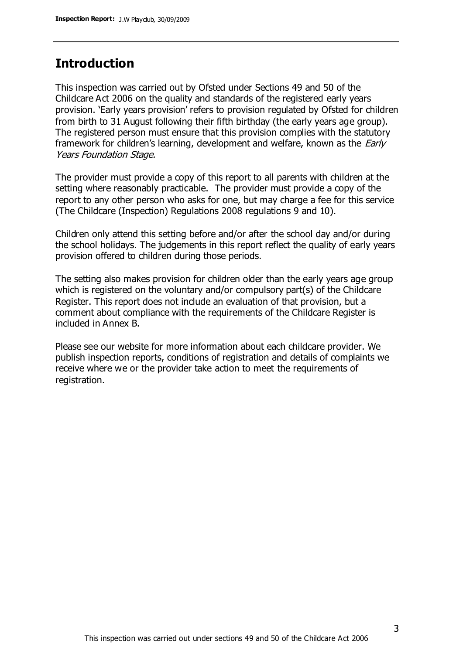## **Introduction**

This inspection was carried out by Ofsted under Sections 49 and 50 of the Childcare Act 2006 on the quality and standards of the registered early years provision. 'Early years provision' refers to provision regulated by Ofsted for children from birth to 31 August following their fifth birthday (the early years age group). The registered person must ensure that this provision complies with the statutory framework for children's learning, development and welfare, known as the *Early* Years Foundation Stage.

The provider must provide a copy of this report to all parents with children at the setting where reasonably practicable. The provider must provide a copy of the report to any other person who asks for one, but may charge a fee for this service (The Childcare (Inspection) Regulations 2008 regulations 9 and 10).

Children only attend this setting before and/or after the school day and/or during the school holidays. The judgements in this report reflect the quality of early years provision offered to children during those periods.

The setting also makes provision for children older than the early years age group which is registered on the voluntary and/or compulsory part(s) of the Childcare Register. This report does not include an evaluation of that provision, but a comment about compliance with the requirements of the Childcare Register is included in Annex B.

Please see our website for more information about each childcare provider. We publish inspection reports, conditions of registration and details of complaints we receive where we or the provider take action to meet the requirements of registration.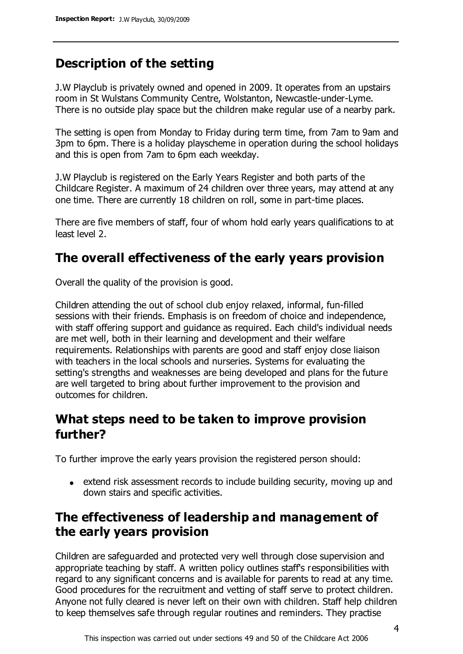# **Description of the setting**

J.W Playclub is privately owned and opened in 2009. It operates from an upstairs room in St Wulstans Community Centre, Wolstanton, Newcastle-under-Lyme. There is no outside play space but the children make regular use of a nearby park.

The setting is open from Monday to Friday during term time, from 7am to 9am and 3pm to 6pm. There is a holiday playscheme in operation during the school holidays and this is open from 7am to 6pm each weekday.

J.W Playclub is registered on the Early Years Register and both parts of the Childcare Register. A maximum of 24 children over three years, may attend at any one time. There are currently 18 children on roll, some in part-time places.

There are five members of staff, four of whom hold early years qualifications to at least level 2.

## **The overall effectiveness of the early years provision**

Overall the quality of the provision is good.

Children attending the out of school club enjoy relaxed, informal, fun-filled sessions with their friends. Emphasis is on freedom of choice and independence, with staff offering support and guidance as required. Each child's individual needs are met well, both in their learning and development and their welfare requirements. Relationships with parents are good and staff enjoy close liaison with teachers in the local schools and nurseries. Systems for evaluating the setting's strengths and weaknesses are being developed and plans for the future are well targeted to bring about further improvement to the provision and outcomes for children.

# **What steps need to be taken to improve provision further?**

To further improve the early years provision the registered person should:

extend risk assessment records to include building security, moving up and down stairs and specific activities.

# **The effectiveness of leadership and management of the early years provision**

Children are safeguarded and protected very well through close supervision and appropriate teaching by staff. A written policy outlines staff's responsibilities with regard to any significant concerns and is available for parents to read at any time. Good procedures for the recruitment and vetting of staff serve to protect children. Anyone not fully cleared is never left on their own with children. Staff help children to keep themselves safe through regular routines and reminders. They practise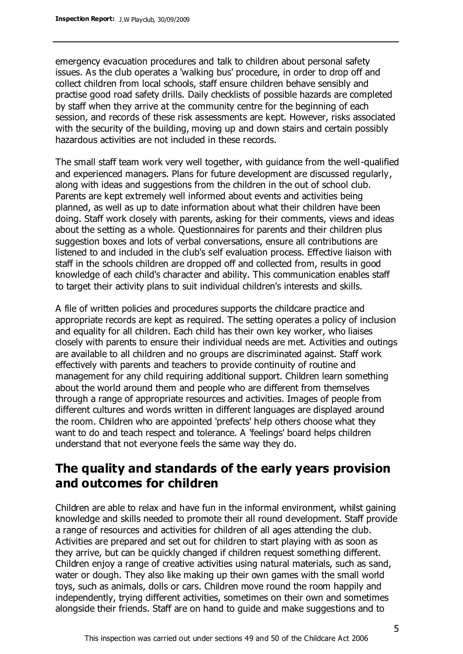emergency evacuation procedures and talk to children about personal safety issues. As the club operates a 'walking bus' procedure, in order to drop off and collect children from local schools, staff ensure children behave sensibly and practise good road safety drills. Daily checklists of possible hazards are completed by staff when they arrive at the community centre for the beginning of each session, and records of these risk assessments are kept. However, risks associated with the security of the building, moving up and down stairs and certain possibly hazardous activities are not included in these records.

The small staff team work very well together, with guidance from the well-qualified and experienced managers. Plans for future development are discussed regularly, along with ideas and suggestions from the children in the out of school club. Parents are kept extremely well informed about events and activities being planned, as well as up to date information about what their children have been doing. Staff work closely with parents, asking for their comments, views and ideas about the setting as a whole. Questionnaires for parents and their children plus suggestion boxes and lots of verbal conversations, ensure all contributions are listened to and included in the club's self evaluation process. Effective liaison with staff in the schools children are dropped off and collected from, results in good knowledge of each child's character and ability. This communication enables staff to target their activity plans to suit individual children's interests and skills.

A file of written policies and procedures supports the childcare practice and appropriate records are kept as required. The setting operates a policy of inclusion and equality for all children. Each child has their own key worker, who liaises closely with parents to ensure their individual needs are met. Activities and outings are available to all children and no groups are discriminated against. Staff work effectively with parents and teachers to provide continuity of routine and management for any child requiring additional support. Children learn something about the world around them and people who are different from themselves through a range of appropriate resources and activities. Images of people from different cultures and words written in different languages are displayed around the room. Children who are appointed 'prefects' help others choose what they want to do and teach respect and tolerance. A 'feelings' board helps children understand that not everyone feels the same way they do.

## **The quality and standards of the early years provision and outcomes for children**

Children are able to relax and have fun in the informal environment, whilst gaining knowledge and skills needed to promote their all round development. Staff provide a range of resources and activities for children of all ages attending the club. Activities are prepared and set out for children to start playing with as soon as they arrive, but can be quickly changed if children request something different. Children enjoy a range of creative activities using natural materials, such as sand, water or dough. They also like making up their own games with the small world toys, such as animals, dolls or cars. Children move round the room happily and independently, trying different activities, sometimes on their own and sometimes alongside their friends. Staff are on hand to guide and make suggestions and to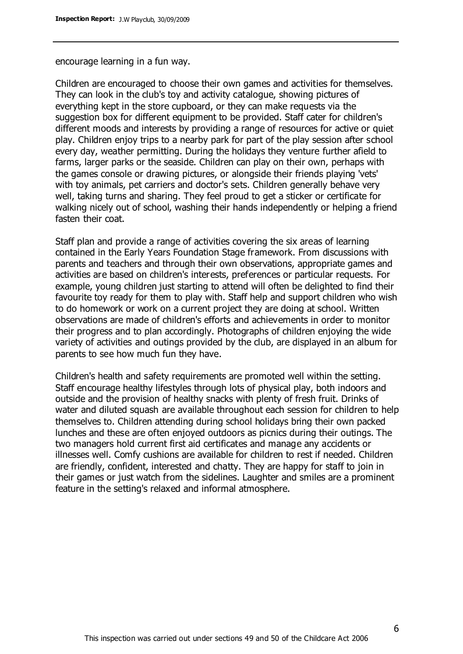encourage learning in a fun way.

Children are encouraged to choose their own games and activities for themselves. They can look in the club's toy and activity catalogue, showing pictures of everything kept in the store cupboard, or they can make requests via the suggestion box for different equipment to be provided. Staff cater for children's different moods and interests by providing a range of resources for active or quiet play. Children enjoy trips to a nearby park for part of the play session after school every day, weather permitting. During the holidays they venture further afield to farms, larger parks or the seaside. Children can play on their own, perhaps with the games console or drawing pictures, or alongside their friends playing 'vets' with toy animals, pet carriers and doctor's sets. Children generally behave very well, taking turns and sharing. They feel proud to get a sticker or certificate for walking nicely out of school, washing their hands independently or helping a friend fasten their coat.

Staff plan and provide a range of activities covering the six areas of learning contained in the Early Years Foundation Stage framework. From discussions with parents and teachers and through their own observations, appropriate games and activities are based on children's interests, preferences or particular requests. For example, young children just starting to attend will often be delighted to find their favourite toy ready for them to play with. Staff help and support children who wish to do homework or work on a current project they are doing at school. Written observations are made of children's efforts and achievements in order to monitor their progress and to plan accordingly. Photographs of children enjoying the wide variety of activities and outings provided by the club, are displayed in an album for parents to see how much fun they have.

Children's health and safety requirements are promoted well within the setting. Staff encourage healthy lifestyles through lots of physical play, both indoors and outside and the provision of healthy snacks with plenty of fresh fruit. Drinks of water and diluted squash are available throughout each session for children to help themselves to. Children attending during school holidays bring their own packed lunches and these are often enjoyed outdoors as picnics during their outings. The two managers hold current first aid certificates and manage any accidents or illnesses well. Comfy cushions are available for children to rest if needed. Children are friendly, confident, interested and chatty. They are happy for staff to join in their games or just watch from the sidelines. Laughter and smiles are a prominent feature in the setting's relaxed and informal atmosphere.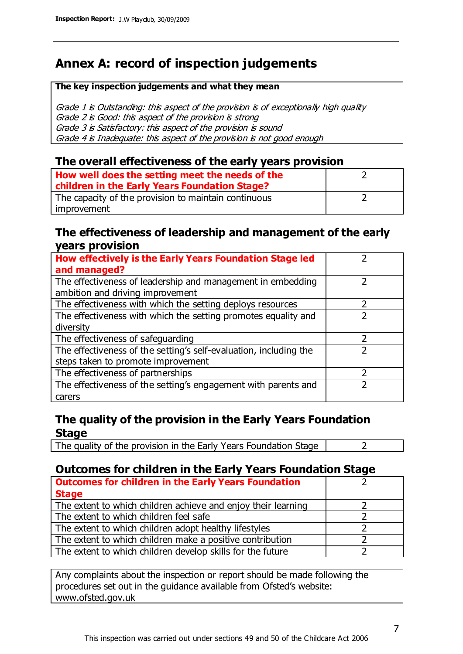# **Annex A: record of inspection judgements**

#### **The key inspection judgements and what they mean**

Grade 1 is Outstanding: this aspect of the provision is of exceptionally high quality Grade 2 is Good: this aspect of the provision is strong Grade 3 is Satisfactory: this aspect of the provision is sound Grade 4 is Inadequate: this aspect of the provision is not good enough

#### **The overall effectiveness of the early years provision**

| How well does the setting meet the needs of the      |  |
|------------------------------------------------------|--|
| children in the Early Years Foundation Stage?        |  |
| The capacity of the provision to maintain continuous |  |
| improvement                                          |  |

#### **The effectiveness of leadership and management of the early years provision**

| How effectively is the Early Years Foundation Stage led                                         |   |
|-------------------------------------------------------------------------------------------------|---|
| and managed?                                                                                    |   |
| The effectiveness of leadership and management in embedding<br>ambition and driving improvement |   |
| The effectiveness with which the setting deploys resources                                      |   |
| The effectiveness with which the setting promotes equality and                                  |   |
| diversity                                                                                       |   |
| The effectiveness of safeguarding                                                               | 2 |
| The effectiveness of the setting's self-evaluation, including the                               | 2 |
| steps taken to promote improvement                                                              |   |
| The effectiveness of partnerships                                                               |   |
| The effectiveness of the setting's engagement with parents and                                  |   |
| carers                                                                                          |   |

### **The quality of the provision in the Early Years Foundation Stage**

The quality of the provision in the Early Years Foundation Stage  $\vert$  2

## **Outcomes for children in the Early Years Foundation Stage**

| <b>Outcomes for children in the Early Years Foundation</b>    |  |
|---------------------------------------------------------------|--|
| <b>Stage</b>                                                  |  |
| The extent to which children achieve and enjoy their learning |  |
| The extent to which children feel safe                        |  |
| The extent to which children adopt healthy lifestyles         |  |
| The extent to which children make a positive contribution     |  |
| The extent to which children develop skills for the future    |  |

Any complaints about the inspection or report should be made following the procedures set out in the guidance available from Ofsted's website: www.ofsted.gov.uk